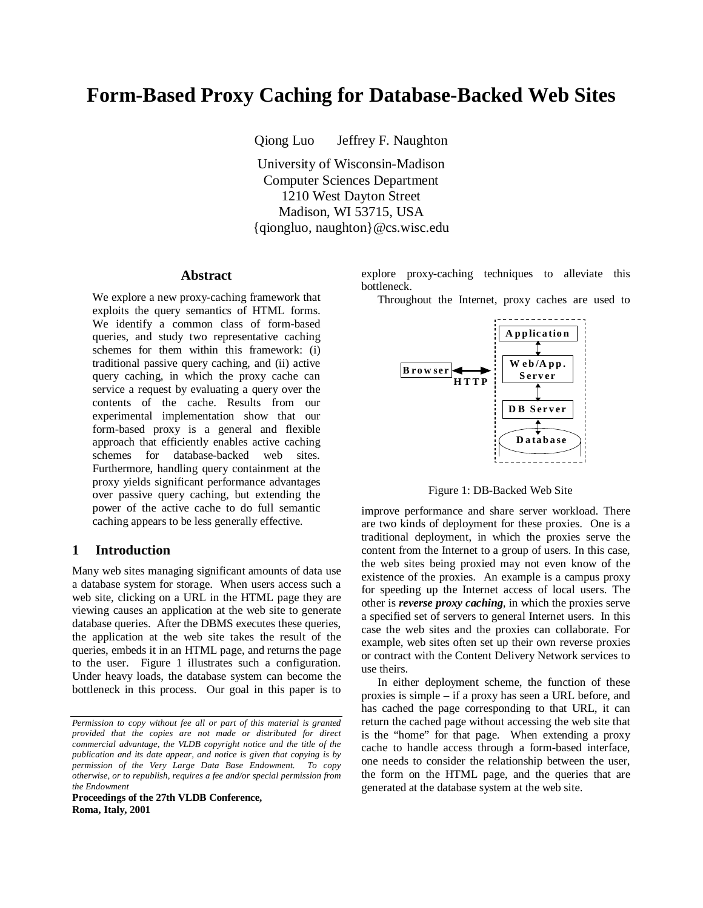# **Form-Based Proxy Caching for Database-Backed Web Sites**

Qiong Luo Jeffrey F. Naughton

University of Wisconsin-Madison Computer Sciences Department 1210 West Dayton Street Madison, WI 53715, USA {qiongluo, naughton}@cs.wisc.edu

#### **Abstract**

We explore a new proxy-caching framework that exploits the query semantics of HTML forms. We identify a common class of form-based queries, and study two representative caching schemes for them within this framework: (i) traditional passive query caching, and (ii) active query caching, in which the proxy cache can service a request by evaluating a query over the contents of the cache. Results from our experimental implementation show that our form-based proxy is a general and flexible approach that efficiently enables active caching schemes for database-backed web sites. Furthermore, handling query containment at the proxy yields significant performance advantages over passive query caching, but extending the power of the active cache to do full semantic caching appears to be less generally effective.

## **1 Introduction**

Many web sites managing significant amounts of data use a database system for storage. When users access such a web site, clicking on a URL in the HTML page they are viewing causes an application at the web site to generate database queries. After the DBMS executes these queries, the application at the web site takes the result of the queries, embeds it in an HTML page, and returns the page to the user. Figure 1 illustrates such a configuration. Under heavy loads, the database system can become the bottleneck in this process. Our goal in this paper is to

**Proceedings of the 27th VLDB Conference, Roma, Italy, 2001**

explore proxy-caching techniques to alleviate this bottleneck.

Throughout the Internet, proxy caches are used to



Figure 1: DB-Backed Web Site

improve performance and share server workload. There are two kinds of deployment for these proxies. One is a traditional deployment, in which the proxies serve the content from the Internet to a group of users. In this case, the web sites being proxied may not even know of the existence of the proxies. An example is a campus proxy for speeding up the Internet access of local users. The other is *reverse proxy caching,* in which the proxies serve a specified set of servers to general Internet users. In this case the web sites and the proxies can collaborate. For example, web sites often set up their own reverse proxies or contract with the Content Delivery Network services to use theirs.

In either deployment scheme, the function of these proxies is simple – if a proxy has seen a URL before, and has cached the page corresponding to that URL, it can return the cached page without accessing the web site that is the "home" for that page. When extending a proxy cache to handle access through a form-based interface, one needs to consider the relationship between the user, the form on the HTML page, and the queries that are generated at the database system at the web site.

*Permission to copy without fee all or part of this material is granted provided that the copies are not made or distributed for direct commercial advantage, the VLDB copyright notice and the title of the publication and its date appear, and notice is given that copying is by permission of the Very Large Data Base Endowment. To copy otherwise, or to republish, requires a fee and/or special permission from the Endowment*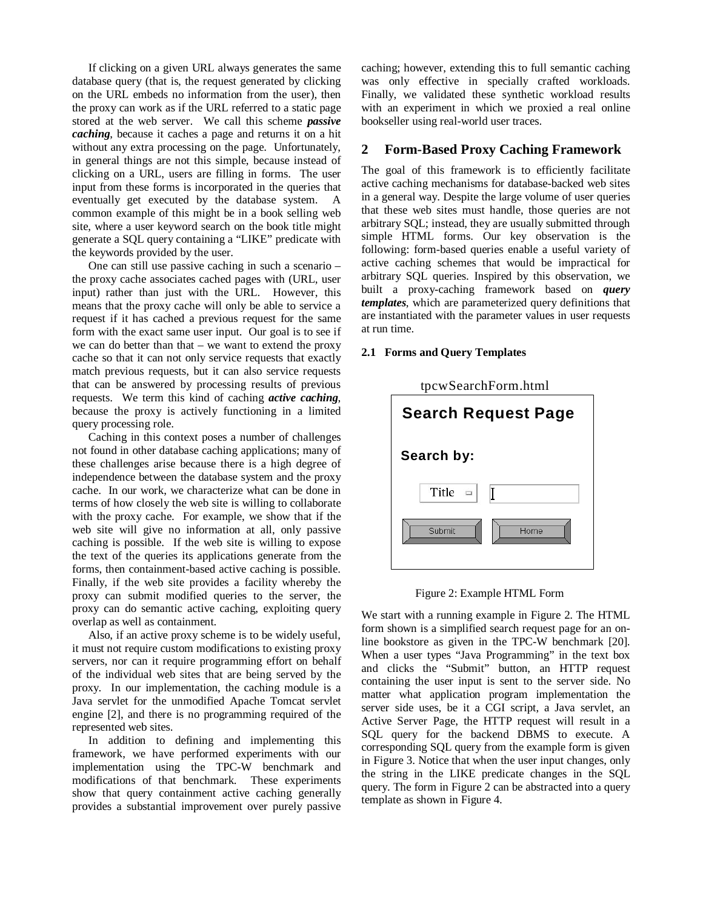If clicking on a given URL always generates the same database query (that is, the request generated by clicking on the URL embeds no information from the user), then the proxy can work as if the URL referred to a static page stored at the web server. We call this scheme *passive caching*, because it caches a page and returns it on a hit without any extra processing on the page. Unfortunately, in general things are not this simple, because instead of clicking on a URL, users are filling in forms. The user input from these forms is incorporated in the queries that eventually get executed by the database system. A common example of this might be in a book selling web site, where a user keyword search on the book title might generate a SQL query containing a "LIKE" predicate with the keywords provided by the user.

One can still use passive caching in such a scenario – the proxy cache associates cached pages with (URL, user input) rather than just with the URL. However, this means that the proxy cache will only be able to service a request if it has cached a previous request for the same form with the exact same user input. Our goal is to see if we can do better than that – we want to extend the proxy cache so that it can not only service requests that exactly match previous requests, but it can also service requests that can be answered by processing results of previous requests. We term this kind of caching *active caching*, because the proxy is actively functioning in a limited query processing role.

Caching in this context poses a number of challenges not found in other database caching applications; many of these challenges arise because there is a high degree of independence between the database system and the proxy cache. In our work, we characterize what can be done in terms of how closely the web site is willing to collaborate with the proxy cache. For example, we show that if the web site will give no information at all, only passive caching is possible. If the web site is willing to expose the text of the queries its applications generate from the forms, then containment-based active caching is possible. Finally, if the web site provides a facility whereby the proxy can submit modified queries to the server, the proxy can do semantic active caching, exploiting query overlap as well as containment.

Also, if an active proxy scheme is to be widely useful, it must not require custom modifications to existing proxy servers, nor can it require programming effort on behalf of the individual web sites that are being served by the proxy. In our implementation, the caching module is a Java servlet for the unmodified Apache Tomcat servlet engine [2], and there is no programming required of the represented web sites.

In addition to defining and implementing this framework, we have performed experiments with our implementation using the TPC-W benchmark and modifications of that benchmark. These experiments show that query containment active caching generally provides a substantial improvement over purely passive

caching; however, extending this to full semantic caching was only effective in specially crafted workloads. Finally, we validated these synthetic workload results with an experiment in which we proxied a real online bookseller using real-world user traces.

## **2 Form-Based Proxy Caching Framework**

The goal of this framework is to efficiently facilitate active caching mechanisms for database-backed web sites in a general way. Despite the large volume of user queries that these web sites must handle, those queries are not arbitrary SQL; instead, they are usually submitted through simple HTML forms. Our key observation is the following: form-based queries enable a useful variety of active caching schemes that would be impractical for arbitrary SQL queries. Inspired by this observation, we built a proxy-caching framework based on *query templates*, which are parameterized query definitions that are instantiated with the parameter values in user requests at run time.

#### **2.1 Forms and Query Templates**



#### Figure 2: Example HTML Form

We start with a running example in Figure 2. The HTML form shown is a simplified search request page for an online bookstore as given in the TPC-W benchmark [20]. When a user types "Java Programming" in the text box and clicks the "Submit" button, an HTTP request containing the user input is sent to the server side. No matter what application program implementation the server side uses, be it a CGI script, a Java servlet, an Active Server Page, the HTTP request will result in a SQL query for the backend DBMS to execute. A corresponding SQL query from the example form is given in Figure 3. Notice that when the user input changes, only the string in the LIKE predicate changes in the SQL query. The form in Figure 2 can be abstracted into a query template as shown in Figure 4.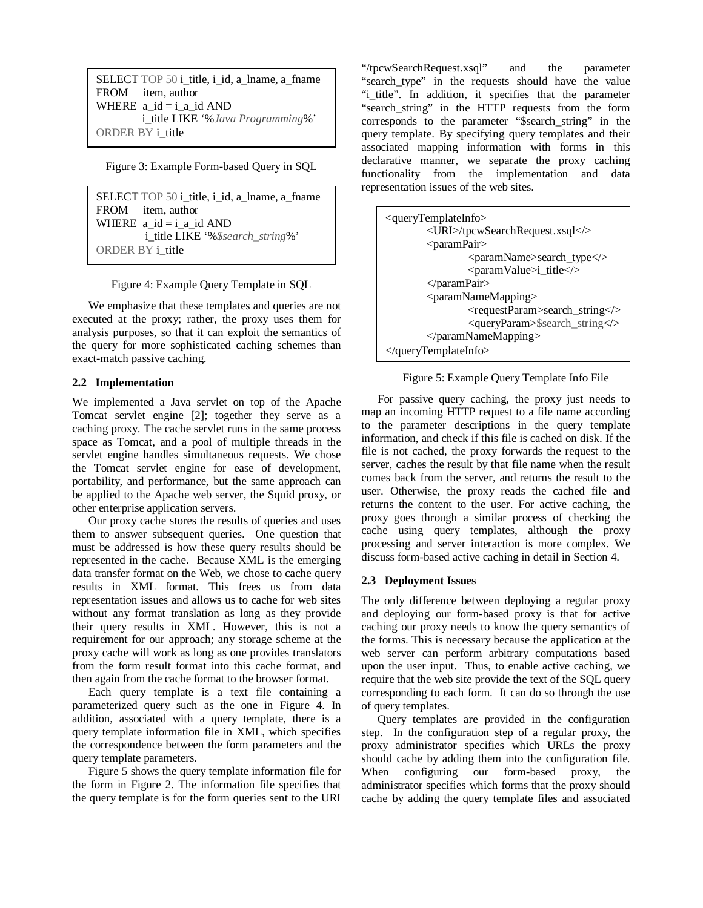```
SELECT TOP 50 i_title, i_id, a_lname, a_fname
FROM item, author
WHERE a id = i a id AND
        i_title LIKE '%Java Programming%'
ORDER BY i_title
```
Figure 3: Example Form-based Query in SQL

SELECT TOP 50 i\_title, i\_id, a\_lname, a\_fname FROM item, author WHERE a  $id = i$  a id AND i\_title LIKE '%*\$search\_string*%' ORDER BY i\_title

Figure 4: Example Query Template in SQL

We emphasize that these templates and queries are not executed at the proxy; rather, the proxy uses them for analysis purposes, so that it can exploit the semantics of the query for more sophisticated caching schemes than exact-match passive caching.

# **2.2 Implementation**

We implemented a Java servlet on top of the Apache Tomcat servlet engine [2]; together they serve as a caching proxy. The cache servlet runs in the same process space as Tomcat, and a pool of multiple threads in the servlet engine handles simultaneous requests. We chose the Tomcat servlet engine for ease of development, portability, and performance, but the same approach can be applied to the Apache web server, the Squid proxy, or other enterprise application servers.

Our proxy cache stores the results of queries and uses them to answer subsequent queries. One question that must be addressed is how these query results should be represented in the cache. Because XML is the emerging data transfer format on the Web, we chose to cache query results in XML format. This frees us from data representation issues and allows us to cache for web sites without any format translation as long as they provide their query results in XML. However, this is not a requirement for our approach; any storage scheme at the proxy cache will work as long as one provides translators from the form result format into this cache format, and then again from the cache format to the browser format.

Each query template is a text file containing a parameterized query such as the one in Figure 4. In addition, associated with a query template, there is a query template information file in XML, which specifies the correspondence between the form parameters and the query template parameters.

Figure 5 shows the query template information file for the form in Figure 2. The information file specifies that the query template is for the form queries sent to the URI

"/tpcwSearchRequest.xsql" and the parameter "search type" in the requests should have the value "i\_title". In addition, it specifies that the parameter "search\_string" in the HTTP requests from the form corresponds to the parameter "\$search\_string" in the query template. By specifying query templates and their associated mapping information with forms in this declarative manner, we separate the proxy caching functionality from the implementation and data representation issues of the web sites.

| <querytemplateinfo></querytemplateinfo>                            |
|--------------------------------------------------------------------|
| <uri>/tpcwSearchRequest.xsql</uri>                                 |
| $<$ paramPair $>$                                                  |
| $\epsilon$ <paramname>search type<math>\epsilon</math></paramname> |
| <paramvalue>i_title</paramvalue>                                   |
| $\langle$ /paramPair>                                              |
| $<$ paramNameMapping>                                              |
| <requestparam>search_string</requestparam>                         |
| <queryparam>\$search_string</queryparam>                           |
| $\langle$ /paramNameMapping>                                       |
| $\langle$ queryTemplateInfo>                                       |

Figure 5: Example Query Template Info File

For passive query caching, the proxy just needs to map an incoming HTTP request to a file name according to the parameter descriptions in the query template information, and check if this file is cached on disk. If the file is not cached, the proxy forwards the request to the server, caches the result by that file name when the result comes back from the server, and returns the result to the user. Otherwise, the proxy reads the cached file and returns the content to the user. For active caching, the proxy goes through a similar process of checking the cache using query templates, although the proxy processing and server interaction is more complex. We discuss form-based active caching in detail in Section 4.

# **2.3 Deployment Issues**

The only difference between deploying a regular proxy and deploying our form-based proxy is that for active caching our proxy needs to know the query semantics of the forms. This is necessary because the application at the web server can perform arbitrary computations based upon the user input. Thus, to enable active caching, we require that the web site provide the text of the SQL query corresponding to each form. It can do so through the use of query templates.

Query templates are provided in the configuration step. In the configuration step of a regular proxy, the proxy administrator specifies which URLs the proxy should cache by adding them into the configuration file. When configuring our form-based proxy, the administrator specifies which forms that the proxy should cache by adding the query template files and associated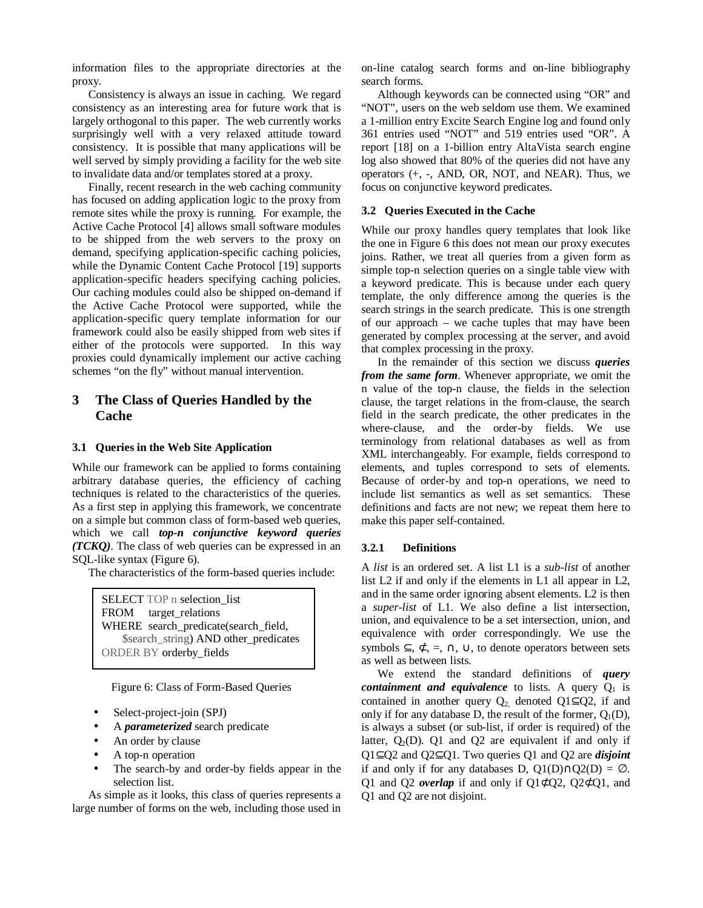information files to the appropriate directories at the proxy.

Consistency is always an issue in caching. We regard consistency as an interesting area for future work that is largely orthogonal to this paper. The web currently works surprisingly well with a very relaxed attitude toward consistency. It is possible that many applications will be well served by simply providing a facility for the web site to invalidate data and/or templates stored at a proxy.

Finally, recent research in the web caching community has focused on adding application logic to the proxy from remote sites while the proxy is running. For example, the Active Cache Protocol [4] allows small software modules to be shipped from the web servers to the proxy on demand, specifying application-specific caching policies, while the Dynamic Content Cache Protocol [19] supports application-specific headers specifying caching policies. Our caching modules could also be shipped on-demand if the Active Cache Protocol were supported, while the application-specific query template information for our framework could also be easily shipped from web sites if either of the protocols were supported. In this way proxies could dynamically implement our active caching schemes "on the fly" without manual intervention.

# **3 The Class of Queries Handled by the Cache**

#### **3.1 Queries in the Web Site Application**

While our framework can be applied to forms containing arbitrary database queries, the efficiency of caching techniques is related to the characteristics of the queries. As a first step in applying this framework, we concentrate on a simple but common class of form-based web queries, which we call *top-n conjunctive keyword queries (TCKQ)*. The class of web queries can be expressed in an SQL-like syntax (Figure 6).

The characteristics of the form-based queries include:

SELECT TOP n selection\_list FROM target relations WHERE search predicate(search field, \$search\_string) AND other\_predicates ORDER BY orderby\_fields

Figure 6: Class of Form-Based Queries

- Select-project-join (SPJ)
- A *parameterized* search predicate
- An order by clause
- A top-n operation
- The search-by and order-by fields appear in the selection list.

As simple as it looks, this class of queries represents a large number of forms on the web, including those used in on-line catalog search forms and on-line bibliography search forms.

Although keywords can be connected using "OR" and "NOT", users on the web seldom use them. We examined a 1-million entry Excite Search Engine log and found only 361 entries used "NOT" and 519 entries used "OR". A report [18] on a 1-billion entry AltaVista search engine log also showed that 80% of the queries did not have any operators (+, -, AND, OR, NOT, and NEAR). Thus, we focus on conjunctive keyword predicates.

#### **3.2 Queries Executed in the Cache**

While our proxy handles query templates that look like the one in Figure 6 this does not mean our proxy executes joins. Rather, we treat all queries from a given form as simple top-n selection queries on a single table view with a keyword predicate. This is because under each query template, the only difference among the queries is the search strings in the search predicate. This is one strength of our approach – we cache tuples that may have been generated by complex processing at the server, and avoid that complex processing in the proxy.

In the remainder of this section we discuss *queries from the same form*. Whenever appropriate, we omit the n value of the top-n clause, the fields in the selection clause, the target relations in the from-clause, the search field in the search predicate, the other predicates in the where-clause, and the order-by fields. We use terminology from relational databases as well as from XML interchangeably. For example, fields correspond to elements, and tuples correspond to sets of elements. Because of order-by and top-n operations, we need to include list semantics as well as set semantics. These definitions and facts are not new; we repeat them here to make this paper self-contained.

#### **3.2.1 Definitions**

A *list* is an ordered set. A list L1 is a *sub-list* of another list L2 if and only if the elements in L1 all appear in L2, and in the same order ignoring absent elements. L2 is then a *super-list* of L1. We also define a list intersection, union, and equivalence to be a set intersection, union, and equivalence with order correspondingly. We use the symbols  $\subseteq, \subset, =, \cap, \cup$ , to denote operators between sets as well as between lists.

We extend the standard definitions of *query containment and equivalence* to lists. A query  $Q_1$  is contained in another query  $Q_2$  denoted  $Q1 ⊂ Q2$ , if and only if for any database D, the result of the former,  $Q_1(D)$ , is always a subset (or sub-list, if order is required) of the latter,  $Q_2(D)$ . Q1 and Q2 are equivalent if and only if Q1⊆Q2 and Q2⊆Q1. Two queries Q1 and Q2 are *disjoint* if and only if for any databases D,  $Q1(D) \cap Q2(D) = \emptyset$ . Q1 and Q2 *overlap* if and only if Q1⊄Q2, Q2⊄Q1, and Q1 and Q2 are not disjoint.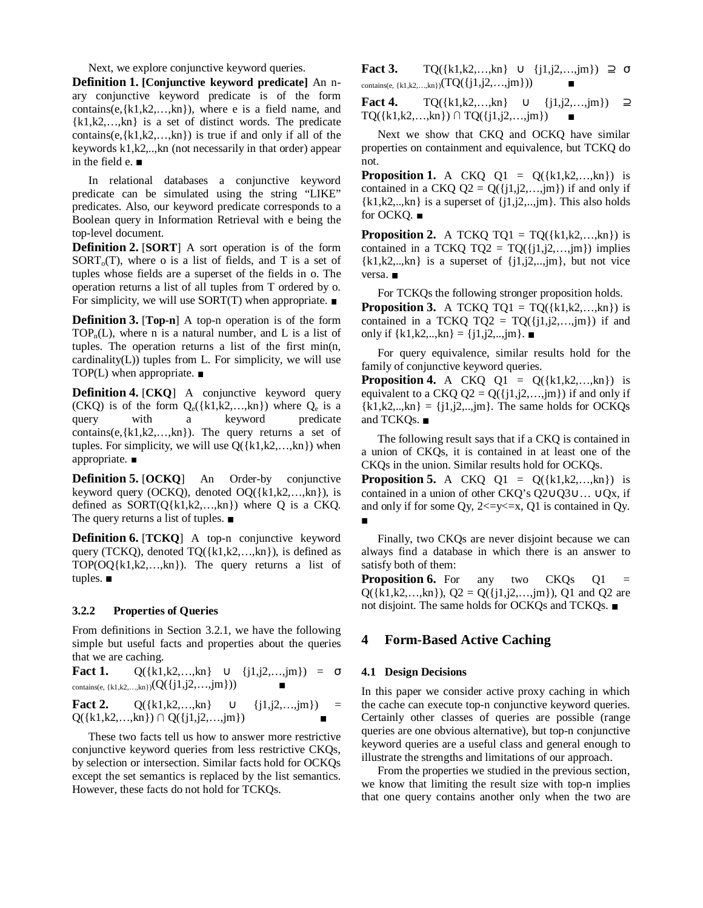Next, we explore conjunctive keyword queries.

**Definition 1. [Conjunctive keyword predicate]** An nary conjunctive keyword predicate is of the form contains(e, $\{k1, k2, \ldots, kn\}$ ), where e is a field name, and  $\{k1, k2, \ldots, kn\}$  is a set of distinct words. The predicate contains(e, $\{k1, k2, \ldots, kn\}$ ) is true if and only if all of the keywords k1,k2,..,kn (not necessarily in that order) appear in the field e.  $\blacksquare$ 

In relational databases a conjunctive keyword predicate can be simulated using the string "LIKE" predicates. Also, our keyword predicate corresponds to a Boolean query in Information Retrieval with e being the top-level document.

**Definition 2.** [**SORT**] A sort operation is of the form  $SORT<sub>o</sub>(T)$ , where o is a list of fields, and T is a set of tuples whose fields are a superset of the fields in o. The operation returns a list of all tuples from T ordered by o. For simplicity, we will use  $SORT(T)$  when appropriate.  $\blacksquare$ 

**Definition 3.** [**Top-n**] A top-n operation is of the form  $TOP_n(L)$ , where n is a natural number, and L is a list of tuples. The operation returns a list of the first min(n, cardinality(L)) tuples from L. For simplicity, we will use TOP(L) when appropriate.  $\blacksquare$ 

**Definition 4.** [**CKQ**] A conjunctive keyword query (CKQ) is of the form  $Q_e({k1,k2,...,kn})$  where  $Q_e$  is a query with a keyword predicate contains(e, $\{k1, k2, \ldots, kn\}$ ). The query returns a set of tuples. For simplicity, we will use  $Q({k1,k2,...,kn})$  when appropriate.

**Definition 5.** [**OCKQ**] An Order-by conjunctive keyword query (OCKQ), denoted  $OQ({k1, k2, \ldots, kn})$ , is defined as  $SORT(Q{k1,k2,...,kn})$  where Q is a CKQ. The query returns a list of tuples.  $\blacksquare$ 

**Definition 6.** [**TCKQ**] A top-n conjunctive keyword query (TCKQ), denoted  $TQ({k1,k2,...,kn})$ , is defined as  $TOP(OQ{k1,k2,...,kn})$ . The query returns a list of tuples. ■

## **3.2.2 Properties of Queries**

From definitions in Section 3.2.1, we have the following simple but useful facts and properties about the queries that we are caching.

**Fact 1.**  $Q({k1,k2,...,kn}$  ∪  ${j1,j2,...,jm}) = σ$ contains(e, {k1,k2,…,kn})( $Q({j1,j2,...,jm})$ )  $\blacksquare$ 

**Fact 2.**  $Q({k1,k2,...,kn})$  ∪  ${j1,j2,...,jm}$ ) =  $Q({k1,k2,...,kn}) \cap Q({j1,j2,...,jm})$ 

These two facts tell us how to answer more restrictive conjunctive keyword queries from less restrictive CKQs, by selection or intersection. Similar facts hold for OCKQs except the set semantics is replaced by the list semantics. However, these facts do not hold for TCKQs.

**Fact 3.** TQ({k1,k2,...,kn} ∪ {j1,j2,...,jm})  $\supseteq$  σ contains(e, {k1,k2,...,kn})( $TQ({j1,j2,...,jm})$ )

**Fact 4.** TQ({k1,k2,...,kn} ∪ {j1,j2,...,jm}) ⊇  $TQ({k1,k2,...,kn}) \cap TQ({j1,j2,...,jm})$ 

Next we show that CKQ and OCKQ have similar properties on containment and equivalence, but TCKQ do not.

**Proposition 1.** A CKQ  $Q1 = Q({k1, k2, ..., kn})$  is contained in a CKQ  $Q2 = Q({j1,j2,...,jm})$  if and only if  $\{k1, k2, \ldots, kn\}$  is a superset of  $\{j1, j2, \ldots, jm\}$ . This also holds for OCKQ.  $\blacksquare$ 

**Proposition 2.** A TCKQ TQ1 =  $TQ({k1,k2,...,kn})$  is contained in a TCKQ TQ2 =  $TQ({j1,j2,...,jm})$  implies  $\{k1, k2, \ldots, kn\}$  is a superset of  $\{j1, j2, \ldots, jm\}$ , but not vice versa.  $\blacksquare$ 

For TCKQs the following stronger proposition holds.

**Proposition 3.** A TCKQ TQ1 =  $TQ({k1,k2,...,kn})$  is contained in a TCKQ TQ2 = TQ( ${j_1, j_2, \ldots, j_m}$ ) if and only if  $\{k1, k2, \ldots, kn\} = \{j1, j2, \ldots, jm\}$ .

For query equivalence, similar results hold for the family of conjunctive keyword queries.

**Proposition 4.** A CKQ  $Q1 = Q({k1, k2, \ldots, kn})$  is equivalent to a CKQ  $Q2 = Q({j1,j2,...,jm})$  if and only if  ${k1,k2,...,kn} = {j1,j2,...,jm}$ . The same holds for OCKQs and TCKQs.  $\blacksquare$ 

The following result says that if a CKQ is contained in a union of CKQs, it is contained in at least one of the CKQs in the union. Similar results hold for OCKQs.

**Proposition 5.** A CKQ  $Q1 = Q({k1,k2,...,kn})$  is contained in a union of other CKQ's Q2∪Q3∪… ∪Qx, if and only if for some Qy,  $2 \le y \le x$ , Q1 is contained in Qy.

Finally, two CKQs are never disjoint because we can always find a database in which there is an answer to satisfy both of them:

**Proposition 6.** For any two CKQs Q1  $Q({k1,k2,...,kn})$ ,  $Q2 = Q({j1,j2,...,jm})$ ,  $Q1$  and  $Q2$  are not disjoint. The same holds for OCKQs and TCKQs.  $\blacksquare$ 

# **4 Form-Based Active Caching**

#### **4.1 Design Decisions**

 Certainly other classes of queries are possible (range In this paper we consider active proxy caching in which the cache can execute top-n conjunctive keyword queries. queries are one obvious alternative), but top-n conjunctive keyword queries are a useful class and general enough to illustrate the strengths and limitations of our approach.

From the properties we studied in the previous section, we know that limiting the result size with top-n implies that one query contains another only when the two are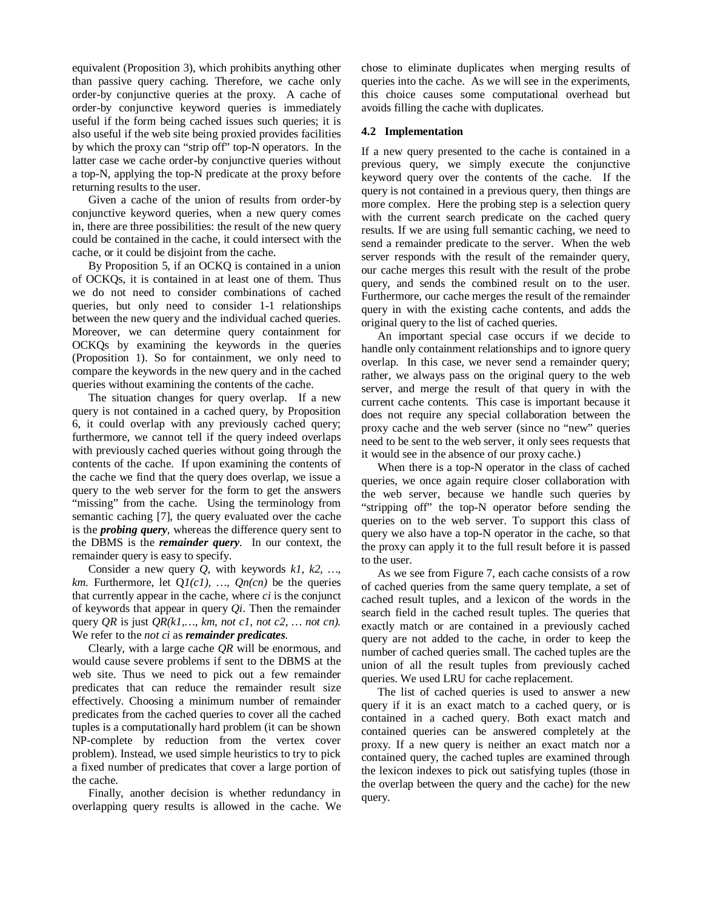equivalent (Proposition 3), which prohibits anything other than passive query caching. Therefore, we cache only order-by conjunctive queries at the proxy. A cache of order-by conjunctive keyword queries is immediately useful if the form being cached issues such queries; it is also useful if the web site being proxied provides facilities by which the proxy can "strip off" top-N operators. In the latter case we cache order-by conjunctive queries without a top-N, applying the top-N predicate at the proxy before returning results to the user.

Given a cache of the union of results from order-by conjunctive keyword queries, when a new query comes in, there are three possibilities: the result of the new query could be contained in the cache, it could intersect with the cache, or it could be disjoint from the cache.

By Proposition 5, if an OCKQ is contained in a union of OCKQs, it is contained in at least one of them. Thus we do not need to consider combinations of cached queries, but only need to consider 1-1 relationships between the new query and the individual cached queries. Moreover, we can determine query containment for OCKQs by examining the keywords in the queries (Proposition 1). So for containment, we only need to compare the keywords in the new query and in the cached queries without examining the contents of the cache.

The situation changes for query overlap. If a new query is not contained in a cached query, by Proposition 6, it could overlap with any previously cached query; furthermore, we cannot tell if the query indeed overlaps with previously cached queries without going through the contents of the cache. If upon examining the contents of the cache we find that the query does overlap, we issue a query to the web server for the form to get the answers "missing" from the cache. Using the terminology from semantic caching [7], the query evaluated over the cache is the *probing query*, whereas the difference query sent to the DBMS is the *remainder query*. In our context, the remainder query is easy to specify.

Consider a new query *Q,* with keywords *k1, k2, …, km.* Furthermore, let Q*1(c1), …, Qn(cn)* be the queries that currently appear in the cache, where *ci* is the conjunct of keywords that appear in query *Qi*. Then the remainder query *QR* is just *QR(k1,…, km, not c1, not c2, … not cn).* We refer to the *not ci* as *remainder predicates*.

Clearly, with a large cache *QR* will be enormous, and would cause severe problems if sent to the DBMS at the web site. Thus we need to pick out a few remainder predicates that can reduce the remainder result size effectively. Choosing a minimum number of remainder predicates from the cached queries to cover all the cached tuples is a computationally hard problem (it can be shown NP-complete by reduction from the vertex cover problem). Instead, we used simple heuristics to try to pick a fixed number of predicates that cover a large portion of the cache.

Finally, another decision is whether redundancy in overlapping query results is allowed in the cache. We

chose to eliminate duplicates when merging results of queries into the cache. As we will see in the experiments, this choice causes some computational overhead but avoids filling the cache with duplicates.

## **4.2 Implementation**

If a new query presented to the cache is contained in a previous query, we simply execute the conjunctive keyword query over the contents of the cache. If the query is not contained in a previous query, then things are more complex. Here the probing step is a selection query with the current search predicate on the cached query results. If we are using full semantic caching, we need to send a remainder predicate to the server. When the web server responds with the result of the remainder query, our cache merges this result with the result of the probe query, and sends the combined result on to the user. Furthermore, our cache merges the result of the remainder query in with the existing cache contents, and adds the original query to the list of cached queries.

An important special case occurs if we decide to handle only containment relationships and to ignore query overlap. In this case, we never send a remainder query; rather, we always pass on the original query to the web server, and merge the result of that query in with the current cache contents. This case is important because it does not require any special collaboration between the proxy cache and the web server (since no "new" queries need to be sent to the web server, it only sees requests that it would see in the absence of our proxy cache.)

When there is a top-N operator in the class of cached queries, we once again require closer collaboration with the web server, because we handle such queries by "stripping off" the top-N operator before sending the queries on to the web server. To support this class of query we also have a top-N operator in the cache, so that the proxy can apply it to the full result before it is passed to the user.

As we see from Figure 7, each cache consists of a row of cached queries from the same query template, a set of cached result tuples, and a lexicon of the words in the search field in the cached result tuples. The queries that exactly match or are contained in a previously cached query are not added to the cache, in order to keep the number of cached queries small. The cached tuples are the union of all the result tuples from previously cached queries. We used LRU for cache replacement.

The list of cached queries is used to answer a new query if it is an exact match to a cached query, or is contained in a cached query. Both exact match and contained queries can be answered completely at the proxy. If a new query is neither an exact match nor a contained query, the cached tuples are examined through the lexicon indexes to pick out satisfying tuples (those in the overlap between the query and the cache) for the new query.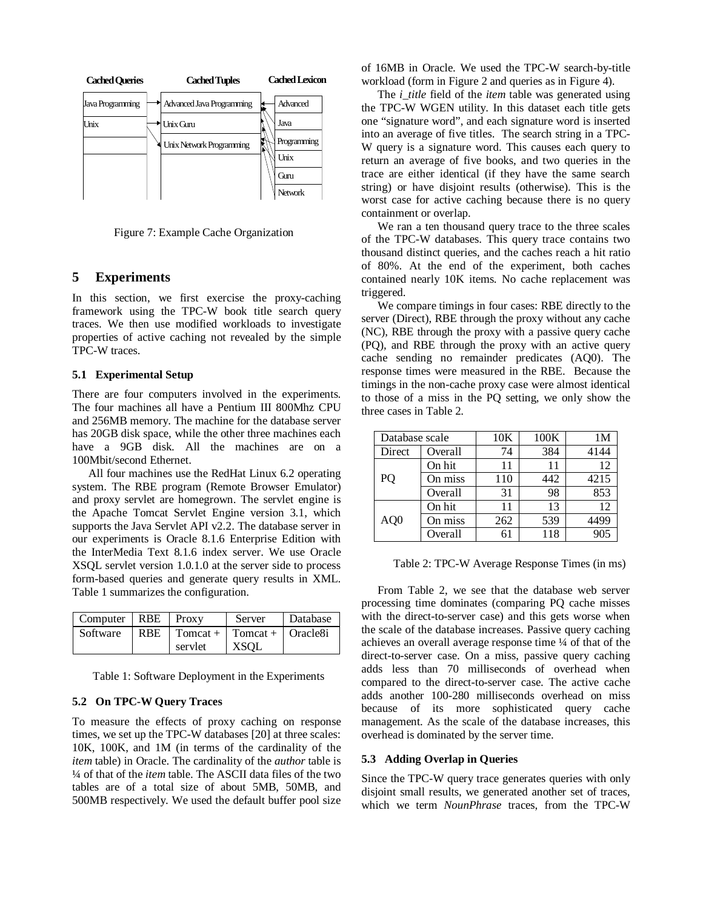

Figure 7: Example Cache Organization

# **5 Experiments**

In this section, we first exercise the proxy-caching framework using the TPC-W book title search query traces. We then use modified workloads to investigate properties of active caching not revealed by the simple TPC-W traces.

#### **5.1 Experimental Setup**

There are four computers involved in the experiments. The four machines all have a Pentium III 800Mhz CPU and 256MB memory. The machine for the database server has 20GB disk space, while the other three machines each have a 9GB disk. All the machines are on a 100Mbit/second Ethernet.

All four machines use the RedHat Linux 6.2 operating system. The RBE program (Remote Browser Emulator) and proxy servlet are homegrown. The servlet engine is the Apache Tomcat Servlet Engine version 3.1, which supports the Java Servlet API v2.2. The database server in our experiments is Oracle 8.1.6 Enterprise Edition with the InterMedia Text 8.1.6 index server. We use Oracle XSQL servlet version 1.0.1.0 at the server side to process form-based queries and generate query results in XML. Table 1 summarizes the configuration.

| Computer   RBE   Proxy |         | Server                                 | Database |
|------------------------|---------|----------------------------------------|----------|
| Software               |         | $RBE$   Tomcat +   Tomcat +   Oracle8i |          |
|                        | servlet | XSOL                                   |          |

Table 1: Software Deployment in the Experiments

#### **5.2 On TPC-W Query Traces**

To measure the effects of proxy caching on response times, we set up the TPC-W databases [20] at three scales: 10K, 100K, and 1M (in terms of the cardinality of the *item* table) in Oracle. The cardinality of the *author* table is ¼ of that of the *item* table. The ASCII data files of the two tables are of a total size of about 5MB, 50MB, and 500MB respectively. We used the default buffer pool size of 16MB in Oracle. We used the TPC-W search-by-title workload (form in Figure 2 and queries as in Figure 4).

The *i\_title* field of the *item* table was generated using the TPC-W WGEN utility. In this dataset each title gets one "signature word", and each signature word is inserted into an average of five titles. The search string in a TPC-W query is a signature word. This causes each query to return an average of five books, and two queries in the trace are either identical (if they have the same search string) or have disjoint results (otherwise). This is the worst case for active caching because there is no query containment or overlap.

We ran a ten thousand query trace to the three scales of the TPC-W databases. This query trace contains two thousand distinct queries, and the caches reach a hit ratio of 80%. At the end of the experiment, both caches contained nearly 10K items. No cache replacement was triggered.

We compare timings in four cases: RBE directly to the server (Direct), RBE through the proxy without any cache (NC), RBE through the proxy with a passive query cache (PQ), and RBE through the proxy with an active query cache sending no remainder predicates (AQ0). The response times were measured in the RBE. Because the timings in the non-cache proxy case were almost identical to those of a miss in the PQ setting, we only show the three cases in Table 2.

| Database scale |         | 10K | 100K | 1M   |
|----------------|---------|-----|------|------|
| Direct         | Overall | 74  | 384  | 4144 |
| PQ             | On hit  | 11  | 11   | 12   |
|                | On miss | 110 | 442  | 4215 |
|                | Overall | 31  | 98   | 853  |
| AO0            | On hit  | 11  | 13   | 12   |
|                | On miss | 262 | 539  | 4499 |
|                | Overall | 61  | 118  | 901  |

Table 2: TPC-W Average Response Times (in ms)

From Table 2, we see that the database web server processing time dominates (comparing PQ cache misses with the direct-to-server case) and this gets worse when the scale of the database increases. Passive query caching achieves an overall average response time ¼ of that of the direct-to-server case. On a miss, passive query caching adds less than 70 milliseconds of overhead when compared to the direct-to-server case. The active cache adds another 100-280 milliseconds overhead on miss because of its more sophisticated query cache management. As the scale of the database increases, this overhead is dominated by the server time.

#### **5.3 Adding Overlap in Queries**

Since the TPC-W query trace generates queries with only disjoint small results, we generated another set of traces, which we term *NounPhrase* traces, from the TPC-W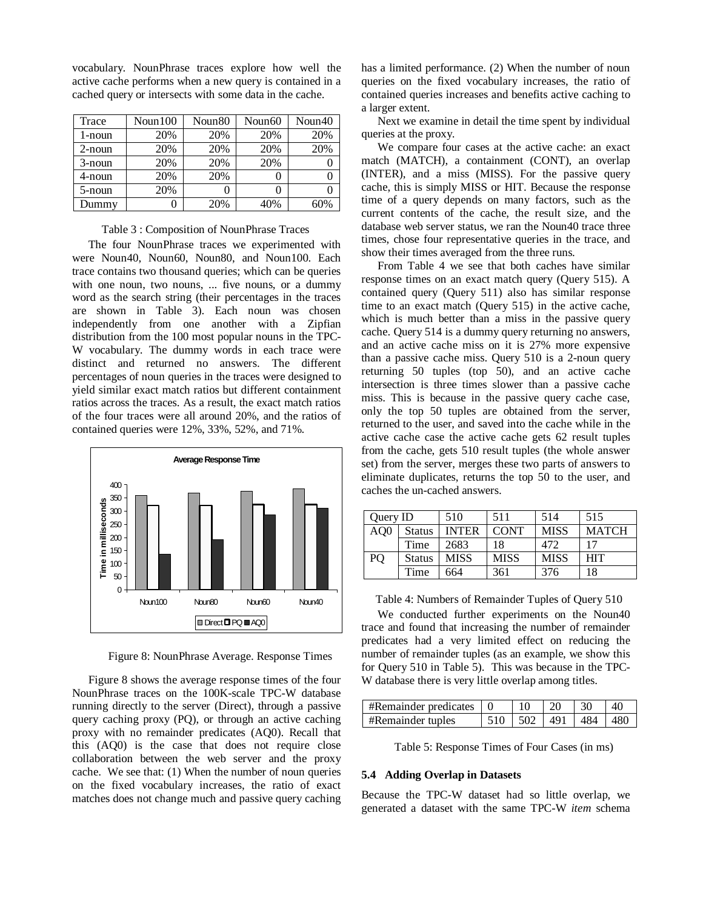vocabulary. NounPhrase traces explore how well the active cache performs when a new query is contained in a cached query or intersects with some data in the cache.

| Trace     | Noun100 | Noun <sub>80</sub> | Noun60 | Noun40 |
|-----------|---------|--------------------|--------|--------|
| $1$ -noun | 20%     | 20%                | 20%    | 20%    |
| $2$ -noun | 20%     | 20%                | 20%    | 20%    |
| $3$ -noun | 20%     | 20%                | 20%    |        |
| $4$ -noun | 20%     | 20%                |        |        |
| $5$ -noun | 20%     |                    |        |        |
| Dummy     |         | 20%                | 40%    | 60%    |

Table 3 : Composition of NounPhrase Traces

The four NounPhrase traces we experimented with were Noun40, Noun60, Noun80, and Noun100. Each trace contains two thousand queries; which can be queries with one noun, two nouns, ... five nouns, or a dummy word as the search string (their percentages in the traces are shown in Table 3). Each noun was chosen independently from one another with a Zipfian distribution from the 100 most popular nouns in the TPC-W vocabulary. The dummy words in each trace were distinct and returned no answers. The different percentages of noun queries in the traces were designed to yield similar exact match ratios but different containment ratios across the traces. As a result, the exact match ratios of the four traces were all around 20%, and the ratios of contained queries were 12%, 33%, 52%, and 71%.



Figure 8: NounPhrase Average. Response Times

Figure 8 shows the average response times of the four NounPhrase traces on the 100K-scale TPC-W database running directly to the server (Direct), through a passive query caching proxy (PQ), or through an active caching proxy with no remainder predicates (AQ0). Recall that this (AQ0) is the case that does not require close collaboration between the web server and the proxy cache. We see that: (1) When the number of noun queries on the fixed vocabulary increases, the ratio of exact matches does not change much and passive query caching

has a limited performance. (2) When the number of noun queries on the fixed vocabulary increases, the ratio of contained queries increases and benefits active caching to a larger extent.

Next we examine in detail the time spent by individual queries at the proxy.

We compare four cases at the active cache: an exact match (MATCH), a containment (CONT), an overlap (INTER), and a miss (MISS). For the passive query cache, this is simply MISS or HIT. Because the response time of a query depends on many factors, such as the current contents of the cache, the result size, and the database web server status, we ran the Noun40 trace three times, chose four representative queries in the trace, and show their times averaged from the three runs.

From Table 4 we see that both caches have similar response times on an exact match query (Query 515). A contained query (Query 511) also has similar response time to an exact match (Query 515) in the active cache, which is much better than a miss in the passive query cache. Query 514 is a dummy query returning no answers, and an active cache miss on it is 27% more expensive than a passive cache miss. Query 510 is a 2-noun query returning 50 tuples (top 50), and an active cache intersection is three times slower than a passive cache miss. This is because in the passive query cache case, only the top 50 tuples are obtained from the server, returned to the user, and saved into the cache while in the active cache case the active cache gets 62 result tuples from the cache, gets 510 result tuples (the whole answer set) from the server, merges these two parts of answers to eliminate duplicates, returns the top 50 to the user, and caches the un-cached answers.

| Query ID |               | 510          | 511         | 514         | 515          |
|----------|---------------|--------------|-------------|-------------|--------------|
| AQ0      | <b>Status</b> | <b>INTER</b> | <b>CONT</b> | <b>MISS</b> | <b>MATCH</b> |
|          | Time          | 2683         | 18          | 472         | 17           |
| PQ       | <b>Status</b> | <b>MISS</b>  | <b>MISS</b> | <b>MISS</b> | <b>HIT</b>   |
|          | Time          | 664          | 361         | 376         | 18           |

Table 4: Numbers of Remainder Tuples of Query 510

We conducted further experiments on the Noun40 trace and found that increasing the number of remainder predicates had a very limited effect on reducing the number of remainder tuples (as an example, we show this for Query 510 in Table 5). This was because in the TPC-W database there is very little overlap among titles.

| $\#$ Remainder predicates $\mid 0 \rangle$ | $-10$                          | $\sqrt{20}$ | $-130$ | $\perp$ 40 |
|--------------------------------------------|--------------------------------|-------------|--------|------------|
| #Remainder tuples                          | $1510$   502   491   484   480 |             |        |            |

Table 5: Response Times of Four Cases (in ms)

#### **5.4 Adding Overlap in Datasets**

Because the TPC-W dataset had so little overlap, we generated a dataset with the same TPC-W *item* schema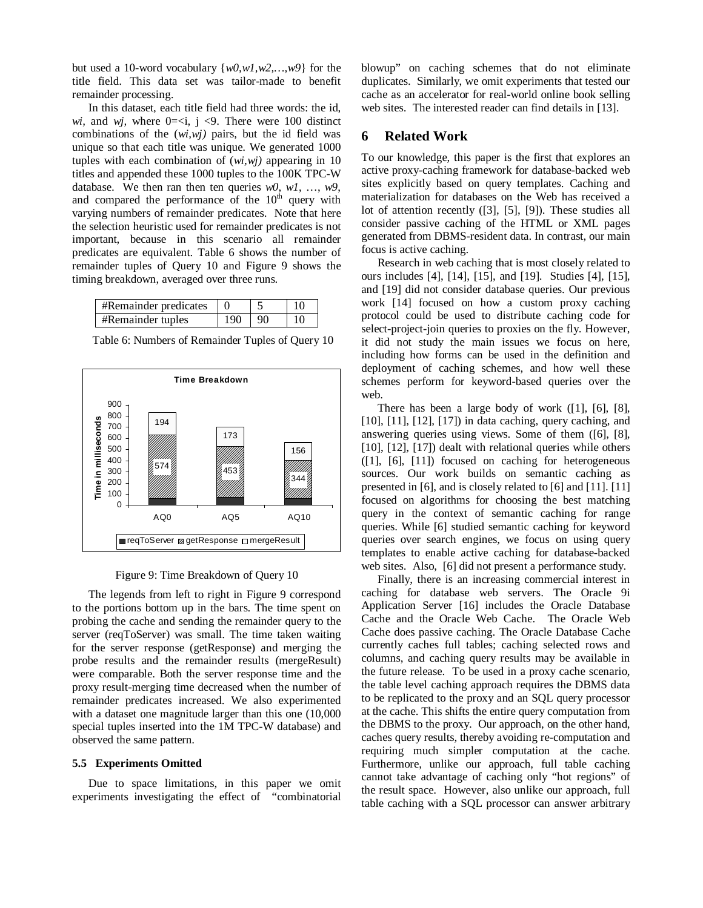but used a 10-word vocabulary {*w0,w1,w2,…,w9*} for the title field. This data set was tailor-made to benefit remainder processing.

In this dataset, each title field had three words: the id, *wi*, and *wi*, where  $0 = \le i$ ,  $i \le 9$ . There were 100 distinct combinations of the (*wi,wj)* pairs, but the id field was unique so that each title was unique. We generated 1000 tuples with each combination of (*wi,wj)* appearing in 10 titles and appended these 1000 tuples to the 100K TPC-W database. We then ran then ten queries *w0*, *w1*, …, *w9*, and compared the performance of the  $10<sup>th</sup>$  query with varying numbers of remainder predicates. Note that here the selection heuristic used for remainder predicates is not important, because in this scenario all remainder predicates are equivalent. Table 6 shows the number of remainder tuples of Query 10 and Figure 9 shows the timing breakdown, averaged over three runs.

| #Remainder predicates |     |    |  |
|-----------------------|-----|----|--|
| #Remainder tuples     | 190 | 90 |  |

Table 6: Numbers of Remainder Tuples of Query 10





The legends from left to right in Figure 9 correspond to the portions bottom up in the bars. The time spent on probing the cache and sending the remainder query to the server (reqToServer) was small. The time taken waiting for the server response (getResponse) and merging the probe results and the remainder results (mergeResult) were comparable. Both the server response time and the proxy result-merging time decreased when the number of remainder predicates increased. We also experimented with a dataset one magnitude larger than this one (10,000 special tuples inserted into the 1M TPC-W database) and observed the same pattern.

#### **5.5 Experiments Omitted**

Due to space limitations, in this paper we omit experiments investigating the effect of "combinatorial blowup" on caching schemes that do not eliminate duplicates. Similarly, we omit experiments that tested our cache as an accelerator for real-world online book selling web sites. The interested reader can find details in [13].

## **6 Related Work**

To our knowledge, this paper is the first that explores an active proxy-caching framework for database-backed web sites explicitly based on query templates. Caching and materialization for databases on the Web has received a lot of attention recently ([3], [5], [9]). These studies all consider passive caching of the HTML or XML pages generated from DBMS-resident data. In contrast, our main focus is active caching.

Research in web caching that is most closely related to ours includes [4], [14], [15], and [19]. Studies [4], [15], and [19] did not consider database queries. Our previous work [14] focused on how a custom proxy caching protocol could be used to distribute caching code for select-project-join queries to proxies on the fly. However, it did not study the main issues we focus on here, including how forms can be used in the definition and deployment of caching schemes, and how well these schemes perform for keyword-based queries over the web.

There has been a large body of work ([1], [6], [8], [10], [11], [12], [17]) in data caching, query caching, and answering queries using views. Some of them ([6], [8], [10], [12], [17]) dealt with relational queries while others ([1], [6], [11]) focused on caching for heterogeneous sources. Our work builds on semantic caching as presented in [6], and is closely related to [6] and [11]. [11] focused on algorithms for choosing the best matching query in the context of semantic caching for range queries. While [6] studied semantic caching for keyword queries over search engines, we focus on using query templates to enable active caching for database-backed web sites. Also, [6] did not present a performance study.

Finally, there is an increasing commercial interest in caching for database web servers. The Oracle 9i Application Server [16] includes the Oracle Database Cache and the Oracle Web Cache. The Oracle Web Cache does passive caching. The Oracle Database Cache currently caches full tables; caching selected rows and columns, and caching query results may be available in the future release. To be used in a proxy cache scenario, the table level caching approach requires the DBMS data to be replicated to the proxy and an SQL query processor at the cache. This shifts the entire query computation from the DBMS to the proxy. Our approach, on the other hand, caches query results, thereby avoiding re-computation and requiring much simpler computation at the cache. Furthermore, unlike our approach, full table caching cannot take advantage of caching only "hot regions" of the result space. However, also unlike our approach, full table caching with a SQL processor can answer arbitrary